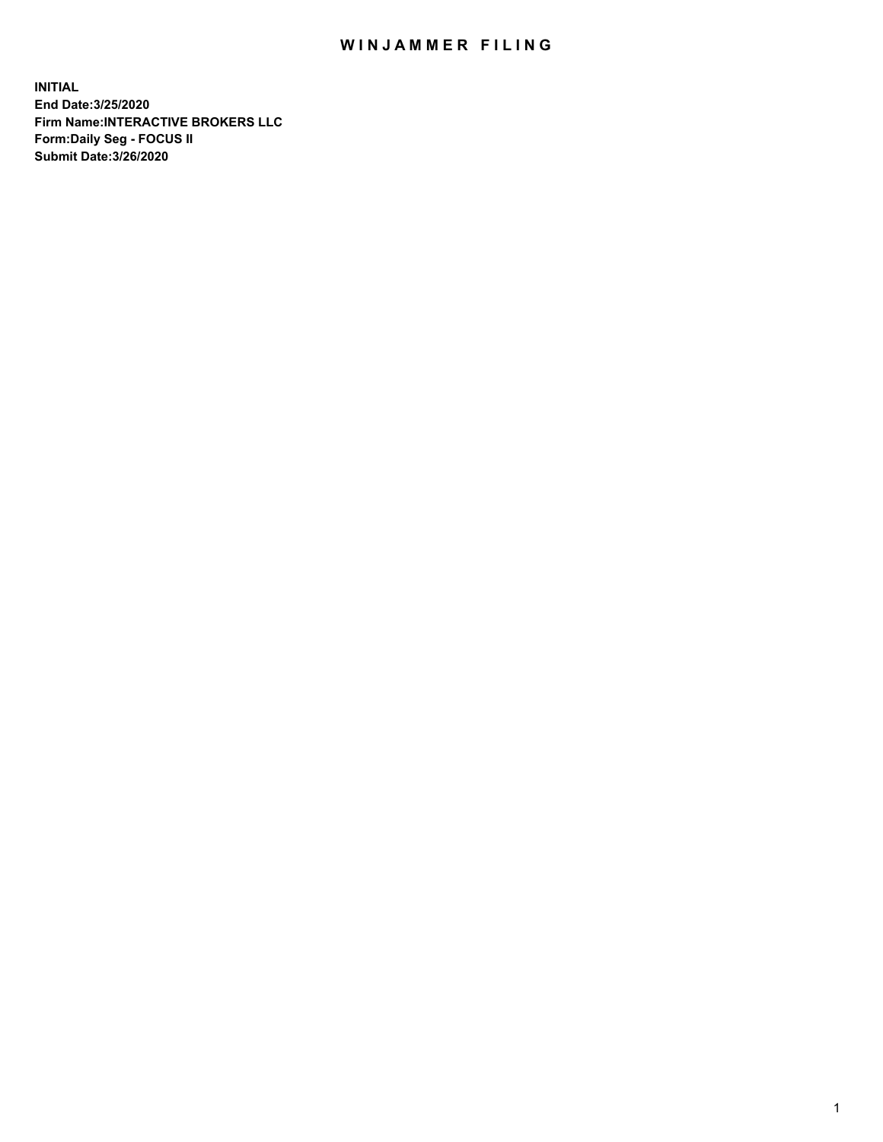## WIN JAMMER FILING

**INITIAL End Date:3/25/2020 Firm Name:INTERACTIVE BROKERS LLC Form:Daily Seg - FOCUS II Submit Date:3/26/2020**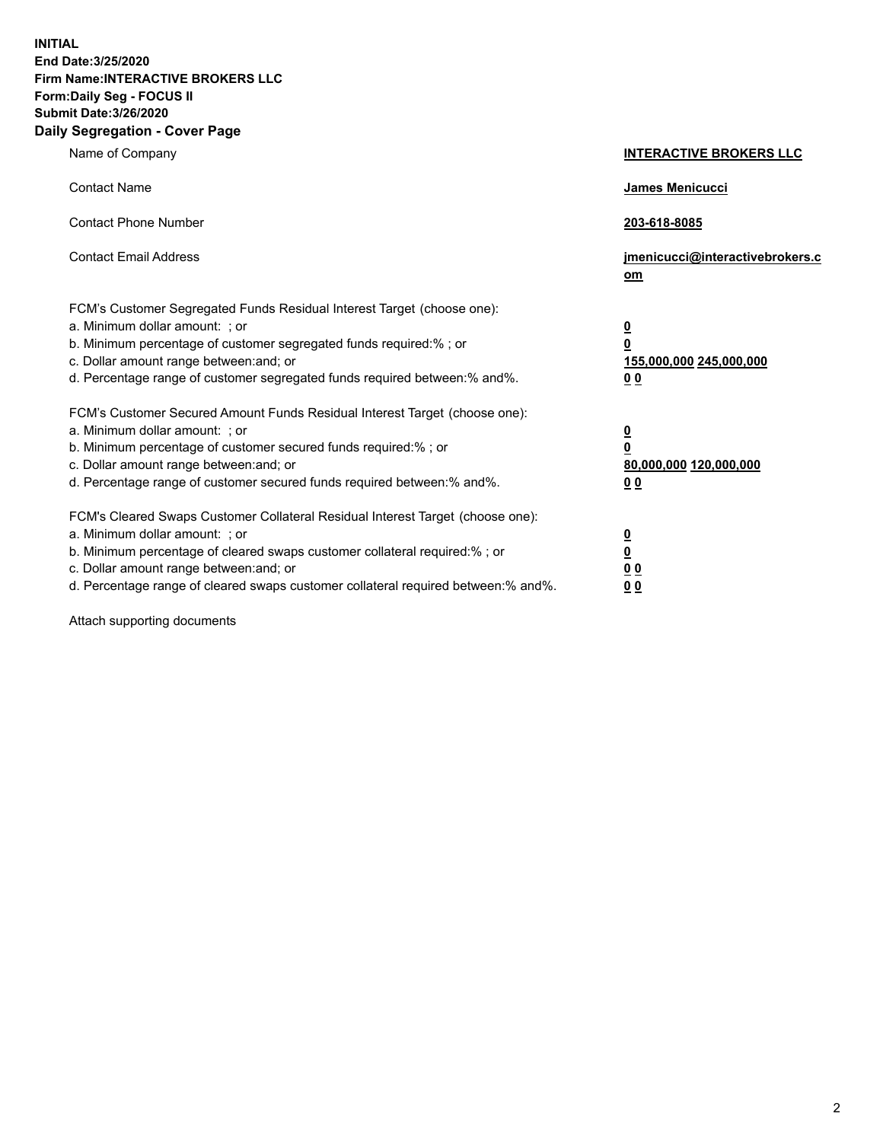**INITIAL End Date:3/25/2020 Firm Name:INTERACTIVE BROKERS LLC Form:Daily Seg - FOCUS II Submit Date:3/26/2020 Daily Segregation - Cover Page**

| Name of Company                                                                                                                                                                                                                                                                                                                | <b>INTERACTIVE BROKERS LLC</b>                                                                  |
|--------------------------------------------------------------------------------------------------------------------------------------------------------------------------------------------------------------------------------------------------------------------------------------------------------------------------------|-------------------------------------------------------------------------------------------------|
| <b>Contact Name</b>                                                                                                                                                                                                                                                                                                            | <b>James Menicucci</b>                                                                          |
| <b>Contact Phone Number</b>                                                                                                                                                                                                                                                                                                    | 203-618-8085                                                                                    |
| <b>Contact Email Address</b>                                                                                                                                                                                                                                                                                                   | jmenicucci@interactivebrokers.c<br>om                                                           |
| FCM's Customer Segregated Funds Residual Interest Target (choose one):<br>a. Minimum dollar amount: ; or<br>b. Minimum percentage of customer segregated funds required:%; or<br>c. Dollar amount range between: and; or<br>d. Percentage range of customer segregated funds required between:% and%.                          | $\overline{\mathbf{0}}$<br>$\overline{\mathbf{0}}$<br>155,000,000 245,000,000<br>0 <sub>0</sub> |
| FCM's Customer Secured Amount Funds Residual Interest Target (choose one):<br>a. Minimum dollar amount: ; or<br>b. Minimum percentage of customer secured funds required:%; or<br>c. Dollar amount range between: and; or<br>d. Percentage range of customer secured funds required between:% and%.                            | <u>0</u><br>$\overline{\mathbf{0}}$<br>80,000,000 120,000,000<br>0 <sub>0</sub>                 |
| FCM's Cleared Swaps Customer Collateral Residual Interest Target (choose one):<br>a. Minimum dollar amount: ; or<br>b. Minimum percentage of cleared swaps customer collateral required:% ; or<br>c. Dollar amount range between: and; or<br>d. Percentage range of cleared swaps customer collateral required between:% and%. | $\overline{\mathbf{0}}$<br>$\underline{\mathbf{0}}$<br>0 <sub>0</sub><br>00                     |

Attach supporting documents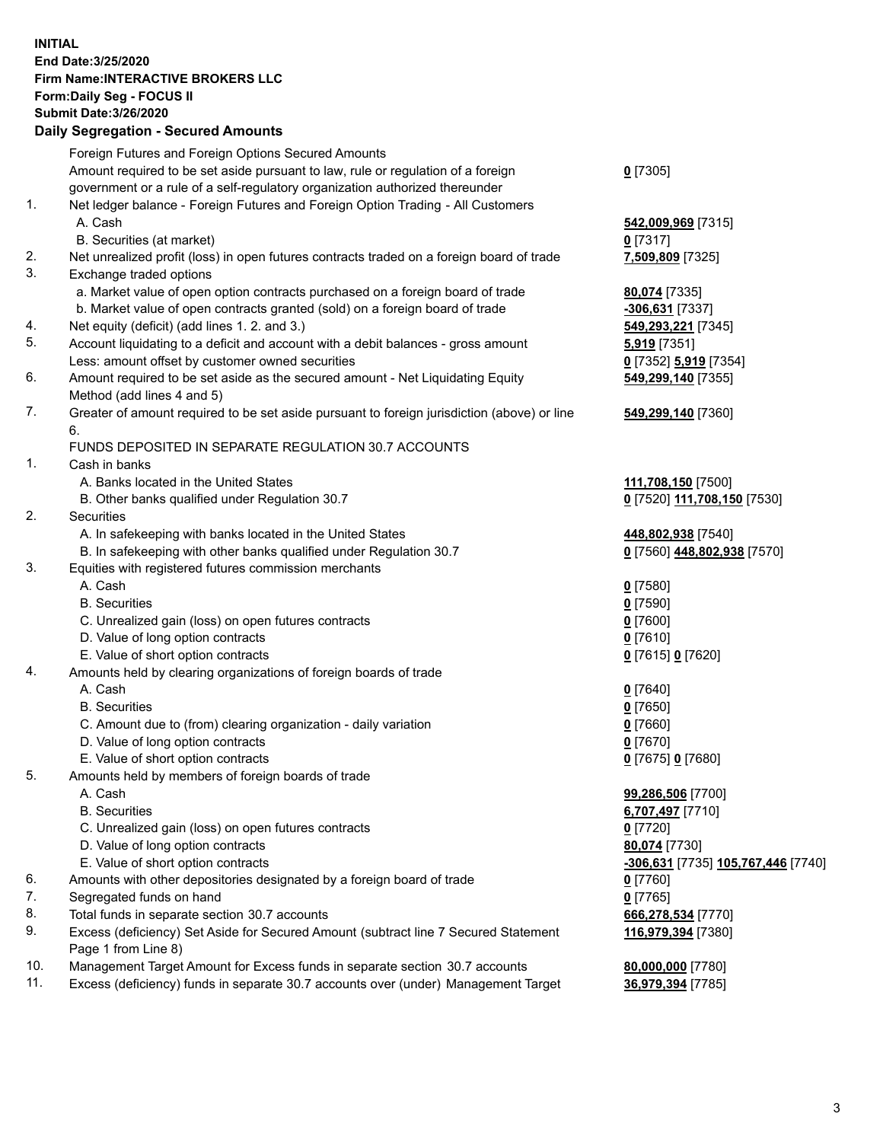**INITIAL End Date:3/25/2020 Firm Name:INTERACTIVE BROKERS LLC Form:Daily Seg - FOCUS II Submit Date:3/26/2020 Daily Segregation - Secured Amounts**

|     | Dany Ocgregation - Oceaned Amounts                                                                         |                                    |
|-----|------------------------------------------------------------------------------------------------------------|------------------------------------|
|     | Foreign Futures and Foreign Options Secured Amounts                                                        |                                    |
|     | Amount required to be set aside pursuant to law, rule or regulation of a foreign                           | $0$ [7305]                         |
|     | government or a rule of a self-regulatory organization authorized thereunder                               |                                    |
| 1.  | Net ledger balance - Foreign Futures and Foreign Option Trading - All Customers                            |                                    |
|     | A. Cash                                                                                                    | 542,009,969 [7315]                 |
|     | B. Securities (at market)                                                                                  | 0 [7317]                           |
| 2.  | Net unrealized profit (loss) in open futures contracts traded on a foreign board of trade                  | 7,509,809 [7325]                   |
| 3.  | Exchange traded options                                                                                    |                                    |
|     | a. Market value of open option contracts purchased on a foreign board of trade                             | 80,074 [7335]                      |
|     | b. Market value of open contracts granted (sold) on a foreign board of trade                               | -306,631 [7337]                    |
| 4.  | Net equity (deficit) (add lines 1. 2. and 3.)                                                              | 549,293,221 [7345]                 |
| 5.  | Account liquidating to a deficit and account with a debit balances - gross amount                          | <b>5,919</b> [7351]                |
|     | Less: amount offset by customer owned securities                                                           | 0 [7352] 5,919 [7354]              |
| 6.  | Amount required to be set aside as the secured amount - Net Liquidating Equity                             | 549,299,140 [7355]                 |
|     | Method (add lines 4 and 5)                                                                                 |                                    |
| 7.  | Greater of amount required to be set aside pursuant to foreign jurisdiction (above) or line                | 549,299,140 [7360]                 |
|     | 6.                                                                                                         |                                    |
|     | FUNDS DEPOSITED IN SEPARATE REGULATION 30.7 ACCOUNTS                                                       |                                    |
| 1.  | Cash in banks                                                                                              |                                    |
|     | A. Banks located in the United States                                                                      | 111,708,150 [7500]                 |
|     | B. Other banks qualified under Regulation 30.7                                                             | 0 [7520] 111,708,150 [7530]        |
| 2.  | Securities                                                                                                 |                                    |
|     | A. In safekeeping with banks located in the United States                                                  | 448,802,938 [7540]                 |
|     | B. In safekeeping with other banks qualified under Regulation 30.7                                         | 0 [7560] 448,802,938 [7570]        |
| 3.  | Equities with registered futures commission merchants                                                      |                                    |
|     | A. Cash                                                                                                    | $0$ [7580]                         |
|     | <b>B.</b> Securities                                                                                       | $0$ [7590]                         |
|     | C. Unrealized gain (loss) on open futures contracts                                                        | $0$ [7600]                         |
|     | D. Value of long option contracts                                                                          | $0$ [7610]                         |
|     | E. Value of short option contracts                                                                         | 0 [7615] 0 [7620]                  |
| 4.  | Amounts held by clearing organizations of foreign boards of trade                                          |                                    |
|     | A. Cash                                                                                                    | $0$ [7640]                         |
|     | <b>B.</b> Securities                                                                                       | $0$ [7650]                         |
|     | C. Amount due to (from) clearing organization - daily variation                                            | $0$ [7660]                         |
|     | D. Value of long option contracts                                                                          | $0$ [7670]                         |
|     | E. Value of short option contracts                                                                         | 0 [7675] 0 [7680]                  |
| 5.  | Amounts held by members of foreign boards of trade                                                         |                                    |
|     | A. Cash                                                                                                    | 99,286,506 [7700]                  |
|     | <b>B.</b> Securities                                                                                       | 6,707,497 [7710]                   |
|     | C. Unrealized gain (loss) on open futures contracts                                                        | $0$ [7720]                         |
|     | D. Value of long option contracts                                                                          | 80,074 [7730]                      |
|     | E. Value of short option contracts                                                                         | -306,631 [7735] 105,767,446 [7740] |
| 6.  | Amounts with other depositories designated by a foreign board of trade                                     | $0$ [7760]                         |
| 7.  | Segregated funds on hand                                                                                   | $0$ [7765]                         |
| 8.  | Total funds in separate section 30.7 accounts                                                              | 666,278,534 [7770]                 |
| 9.  | Excess (deficiency) Set Aside for Secured Amount (subtract line 7 Secured Statement<br>Page 1 from Line 8) | 116,979,394 [7380]                 |
| 10. | Management Target Amount for Excess funds in separate section 30.7 accounts                                | 80,000,000 [7780]                  |
| 11. | Excess (deficiency) funds in separate 30.7 accounts over (under) Management Target                         | 36,979,394 [7785]                  |
|     |                                                                                                            |                                    |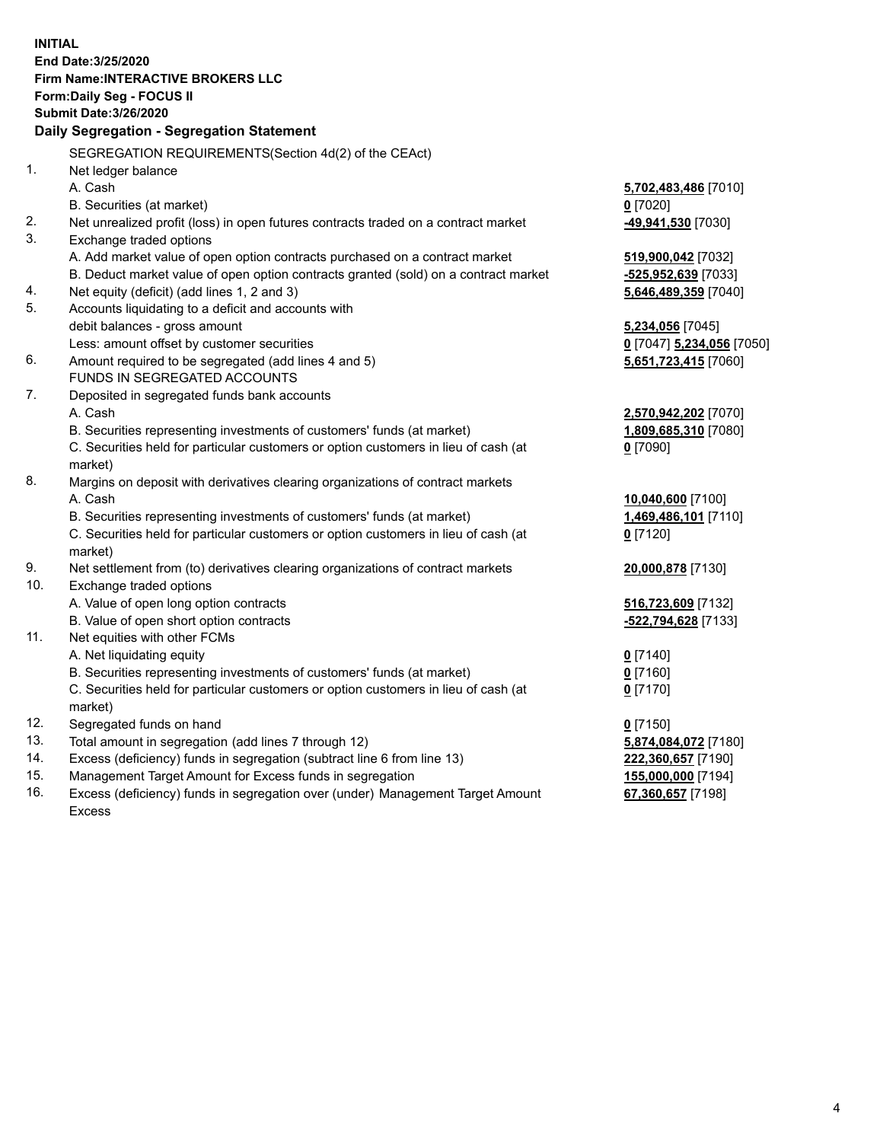**INITIAL End Date:3/25/2020 Firm Name:INTERACTIVE BROKERS LLC Form:Daily Seg - FOCUS II Submit Date:3/26/2020 Daily Segregation - Segregation Statement** SEGREGATION REQUIREMENTS(Section 4d(2) of the CEAct) 1. Net ledger balance A. Cash **5,702,483,486** [7010] B. Securities (at market) **0** [7020] 2. Net unrealized profit (loss) in open futures contracts traded on a contract market **-49,941,530** [7030] 3. Exchange traded options A. Add market value of open option contracts purchased on a contract market **519,900,042** [7032] B. Deduct market value of open option contracts granted (sold) on a contract market **-525,952,639** [7033] 4. Net equity (deficit) (add lines 1, 2 and 3) **5,646,489,359** [7040] 5. Accounts liquidating to a deficit and accounts with debit balances - gross amount **5,234,056** [7045] Less: amount offset by customer securities **0** [7047] **5,234,056** [7050] 6. Amount required to be segregated (add lines 4 and 5) **5,651,723,415** [7060] FUNDS IN SEGREGATED ACCOUNTS 7. Deposited in segregated funds bank accounts A. Cash **2,570,942,202** [7070] B. Securities representing investments of customers' funds (at market) **1,809,685,310** [7080] C. Securities held for particular customers or option customers in lieu of cash (at market) **0** [7090] 8. Margins on deposit with derivatives clearing organizations of contract markets A. Cash **10,040,600** [7100] B. Securities representing investments of customers' funds (at market) **1,469,486,101** [7110] C. Securities held for particular customers or option customers in lieu of cash (at market) **0** [7120] 9. Net settlement from (to) derivatives clearing organizations of contract markets **20,000,878** [7130] 10. Exchange traded options A. Value of open long option contracts **516,723,609** [7132] B. Value of open short option contracts **-522,794,628** [7133] 11. Net equities with other FCMs A. Net liquidating equity **0** [7140] B. Securities representing investments of customers' funds (at market) **0** [7160] C. Securities held for particular customers or option customers in lieu of cash (at market) **0** [7170] 12. Segregated funds on hand **0** [7150] 13. Total amount in segregation (add lines 7 through 12) **5,874,084,072** [7180] 14. Excess (deficiency) funds in segregation (subtract line 6 from line 13) **222,360,657** [7190] 15. Management Target Amount for Excess funds in segregation **155,000,000** [7194] **67,360,657** [7198]

16. Excess (deficiency) funds in segregation over (under) Management Target Amount Excess

4